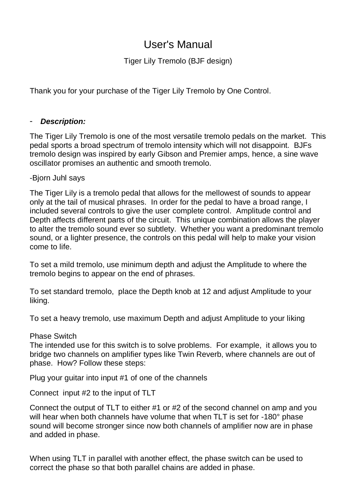# User's Manual

Tiger Lily Tremolo (BJF design)

Thank you for your purchase of the Tiger Lily Tremolo by One Control.

#### - *Description:*

The Tiger Lily Tremolo is one of the most versatile tremolo pedals on the market. This pedal sports a broad spectrum of tremolo intensity which will not disappoint. BJFs tremolo design was inspired by early Gibson and Premier amps, hence, a sine wave oscillator promises an authentic and smooth tremolo.

### -Bjorn Juhl says

The Tiger Lily is a tremolo pedal that allows for the mellowest of sounds to appear only at the tail of musical phrases. In order for the pedal to have a broad range, I included several controls to give the user complete control. Amplitude control and Depth affects different parts of the circuit. This unique combination allows the player to alter the tremolo sound ever so subtlety. Whether you want a predominant tremolo sound, or a lighter presence, the controls on this pedal will help to make your vision come to life.

To set a mild tremolo, use minimum depth and adjust the Amplitude to where the tremolo begins to appear on the end of phrases.

To set standard tremolo, place the Depth knob at 12 and adjust Amplitude to your liking.

To set a heavy tremolo, use maximum Depth and adjust Amplitude to your liking

#### Phase Switch

The intended use for this switch is to solve problems. For example, it allows you to bridge two channels on amplifier types like Twin Reverb, where channels are out of phase. How? Follow these steps:

Plug your guitar into input #1 of one of the channels

Connect input #2 to the input of TLT

Connect the output of TLT to either #1 or #2 of the second channel on amp and you will hear when both channels have volume that when TLT is set for -180° phase sound will become stronger since now both channels of amplifier now are in phase and added in phase.

When using TLT in parallel with another effect, the phase switch can be used to correct the phase so that both parallel chains are added in phase.